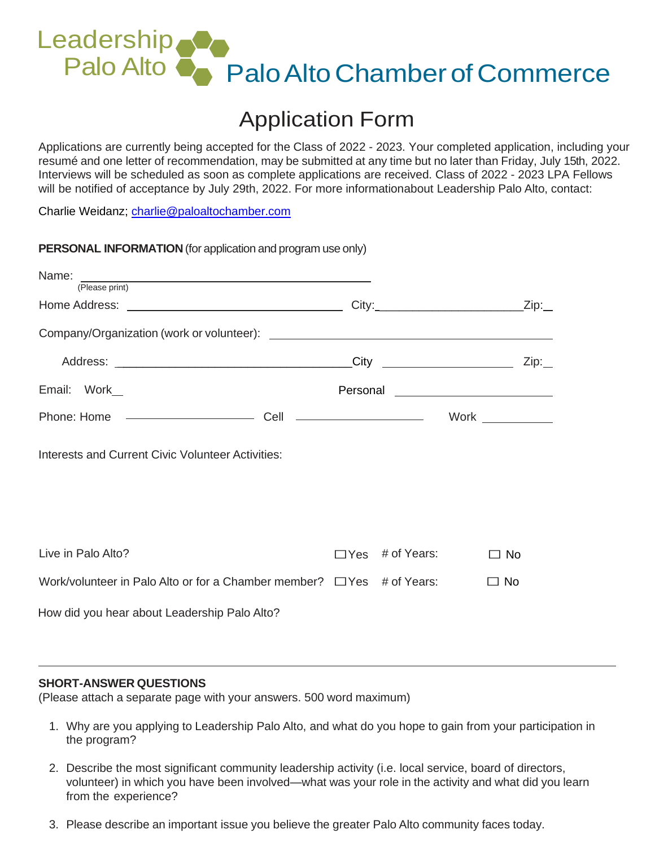# Leadership Palo Alto **Palo Alto Chamber of Commerce**

# Application Form

Applications are currently being accepted for the Class of 2022 - 2023. Your completed application, including your resumé and one letter of recommendation, may be submitted at any time but no later than Friday, July 15th, 2022. Interviews will be scheduled as soon as complete applications are received. Class of 2022 - 2023 LPA Fellows will be notified of acceptance by July 29th, 2022. For more informationabout Leadership Palo Alto, contact:

Charlie Weidanz; [charlie@paloaltochamber.com](mailto:charlie@paloaltochamber.com)

**PERSONAL INFORMATION** (for all interests and probability and probability and probability and probability and probability and probability and probability and probability and probability and probability and probability and

| <b>PERSONAL INFORMATION</b> (for application and program use only)             |                        |                                                |
|--------------------------------------------------------------------------------|------------------------|------------------------------------------------|
| Name:<br>(Please print)                                                        |                        |                                                |
|                                                                                |                        | City:___________________________________Zip:__ |
|                                                                                |                        |                                                |
|                                                                                |                        |                                                |
| Email: Work_                                                                   |                        |                                                |
|                                                                                |                        | Work $\_\_$                                    |
| Interests and Current Civic Volunteer Activities:                              |                        |                                                |
|                                                                                |                        |                                                |
| Live in Palo Alto?                                                             | $\Box$ Yes # of Years: | $\Box$ No                                      |
| Work/volunteer in Palo Alto or for a Chamber member? $\Box$ Yes $\#$ of Years: |                        | $\Box$ No                                      |
| How did you hear about Leadership Palo Alto?                                   |                        |                                                |

## **SHORT-ANSWER QUESTIONS**

(Please attach a separate page with your answers. 500 word maximum)

- 1. Why are you applying to Leadership Palo Alto, and what do you hope to gain from your participation in the program?
- 2. Describe the most significant community leadership activity (i.e. local service, board of directors, volunteer) in which you have been involved—what was your role in the activity and what did you learn from the experience?
- 3. Please describe an important issue you believe the greater Palo Alto community faces today.